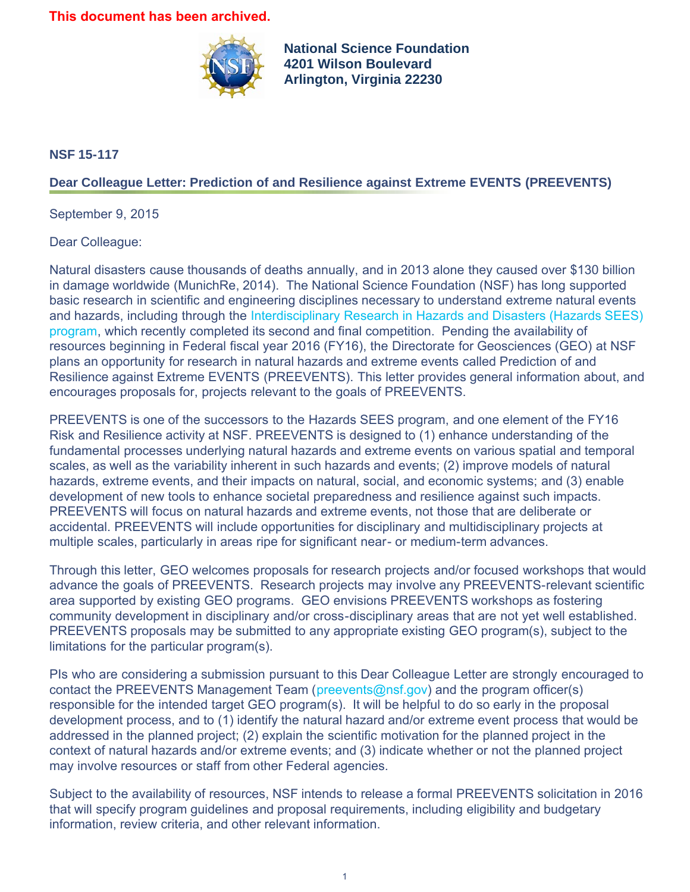## **This document has been archived.**



**National Science Foundation 4201 Wilson Boulevard Arlington, Virginia 22230**

## **NSF 15-117**

## **Dear Colleague Letter: Prediction of and Resilience against Extreme EVENTS (PREEVENTS)**

September 9, 2015

Dear Colleague:

Natural disasters cause thousands of deaths annually, and in 2013 alone they caused over \$130 billion in damage worldwide (MunichRe, 2014). The National Science Foundation (NSF) has long supported basic research in scientific and engineering disciplines necessary to understand extreme natural events and hazards, including through the [Interdisciplinary Research in Hazards and Disasters \(Hazards SEES\)](https://www.nsf.gov/publications/pub_summ.jsp?ods_key=nsf14581) [program,](https://www.nsf.gov/publications/pub_summ.jsp?ods_key=nsf14581) which recently completed its second and final competition. Pending the availability of resources beginning in Federal fiscal year 2016 (FY16), the Directorate for Geosciences (GEO) at NSF plans an opportunity for research in natural hazards and extreme events called Prediction of and Resilience against Extreme EVENTS (PREEVENTS). This letter provides general information about, and encourages proposals for, projects relevant to the goals of PREEVENTS.

PREEVENTS is one of the successors to the Hazards SEES program, and one element of the FY16 Risk and Resilience activity at NSF. PREEVENTS is designed to (1) enhance understanding of the fundamental processes underlying natural hazards and extreme events on various spatial and temporal scales, as well as the variability inherent in such hazards and events; (2) improve models of natural hazards, extreme events, and their impacts on natural, social, and economic systems; and (3) enable development of new tools to enhance societal preparedness and resilience against such impacts. PREEVENTS will focus on natural hazards and extreme events, not those that are deliberate or accidental. PREEVENTS will include opportunities for disciplinary and multidisciplinary projects at multiple scales, particularly in areas ripe for significant near- or medium-term advances.

Through this letter, GEO welcomes proposals for research projects and/or focused workshops that would advance the goals of PREEVENTS. Research projects may involve any PREEVENTS-relevant scientific area supported by existing GEO programs. GEO envisions PREEVENTS workshops as fostering community development in disciplinary and/or cross-disciplinary areas that are not yet well established. PREEVENTS proposals may be submitted to any appropriate existing GEO program(s), subject to the limitations for the particular program(s).

PIs who are considering a submission pursuant to this Dear Colleague Letter are strongly encouraged to contact the PREEVENTS Management Team ([preevents@nsf.gov\)](mailto:preevents@nsf.gov) and the program officer(s) responsible for the intended target GEO program(s). It will be helpful to do so early in the proposal development process, and to (1) identify the natural hazard and/or extreme event process that would be addressed in the planned project; (2) explain the scientific motivation for the planned project in the context of natural hazards and/or extreme events; and (3) indicate whether or not the planned project may involve resources or staff from other Federal agencies.

Subject to the availability of resources, NSF intends to release a formal PREEVENTS solicitation in 2016 that will specify program guidelines and proposal requirements, including eligibility and budgetary information, review criteria, and other relevant information.